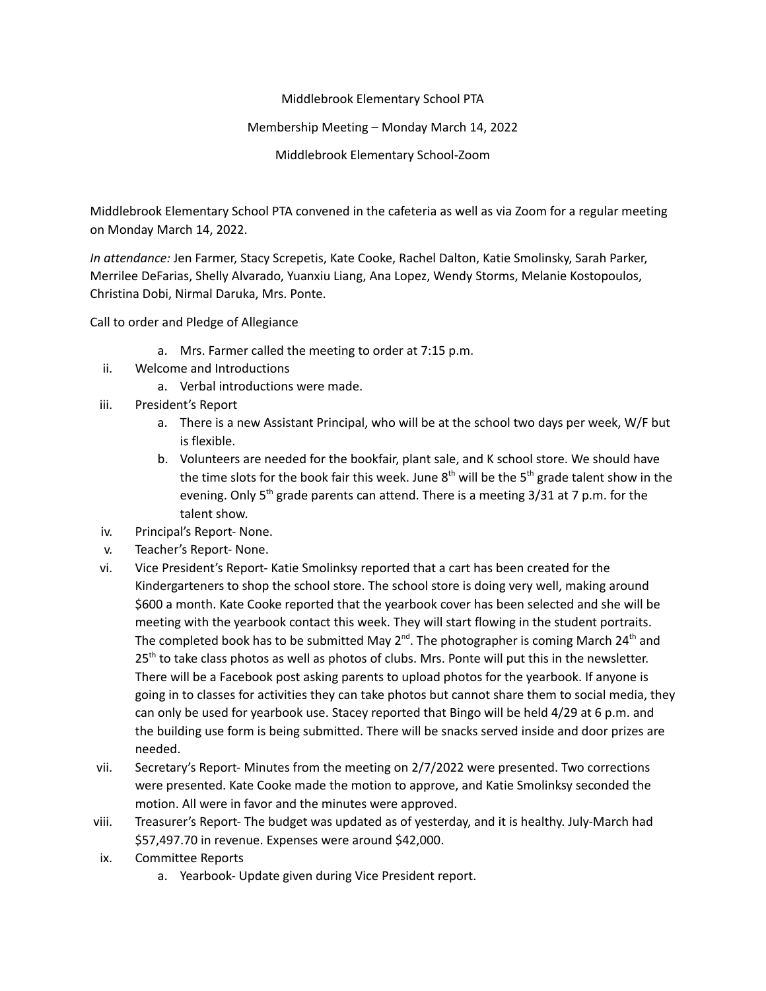Middlebrook Elementary School PTA

## Membership Meeting – Monday March 14, 2022

Middlebrook Elementary School-Zoom

Middlebrook Elementary School PTA convened in the cafeteria as well as via Zoom for a regular meeting on Monday March 14, 2022.

*In attendance:* Jen Farmer, Stacy Screpetis, Kate Cooke, Rachel Dalton, Katie Smolinsky, Sarah Parker, Merrilee DeFarias, Shelly Alvarado, Yuanxiu Liang, Ana Lopez, Wendy Storms, Melanie Kostopoulos, Christina Dobi, Nirmal Daruka, Mrs. Ponte.

Call to order and Pledge of Allegiance

- a. Mrs. Farmer called the meeting to order at 7:15 p.m.
- ii. Welcome and Introductions
	- a. Verbal introductions were made.
- iii. President's Report
	- a. There is a new Assistant Principal, who will be at the school two days per week, W/F but is flexible.
	- b. Volunteers are needed for the bookfair, plant sale, and K school store. We should have the time slots for the book fair this week. June  $8^{th}$  will be the  $5^{th}$  grade talent show in the evening. Only 5<sup>th</sup> grade parents can attend. There is a meeting 3/31 at 7 p.m. for the talent show.
- iv. Principal's Report- None.
- v. Teacher's Report- None.
- vi. Vice President's Report- Katie Smolinksy reported that a cart has been created for the Kindergarteners to shop the school store. The school store is doing very well, making around \$600 a month. Kate Cooke reported that the yearbook cover has been selected and she will be meeting with the yearbook contact this week. They will start flowing in the student portraits. The completed book has to be submitted May 2<sup>nd</sup>. The photographer is coming March 24<sup>th</sup> and 25<sup>th</sup> to take class photos as well as photos of clubs. Mrs. Ponte will put this in the newsletter. There will be a Facebook post asking parents to upload photos for the yearbook. If anyone is going in to classes for activities they can take photos but cannot share them to social media, they can only be used for yearbook use. Stacey reported that Bingo will be held 4/29 at 6 p.m. and the building use form is being submitted. There will be snacks served inside and door prizes are needed.
- vii. Secretary's Report- Minutes from the meeting on 2/7/2022 were presented. Two corrections were presented. Kate Cooke made the motion to approve, and Katie Smolinksy seconded the motion. All were in favor and the minutes were approved.
- viii. Treasurer's Report- The budget was updated as of yesterday, and it is healthy. July-March had \$57,497.70 in revenue. Expenses were around \$42,000.
- ix. Committee Reports
	- a. Yearbook- Update given during Vice President report.